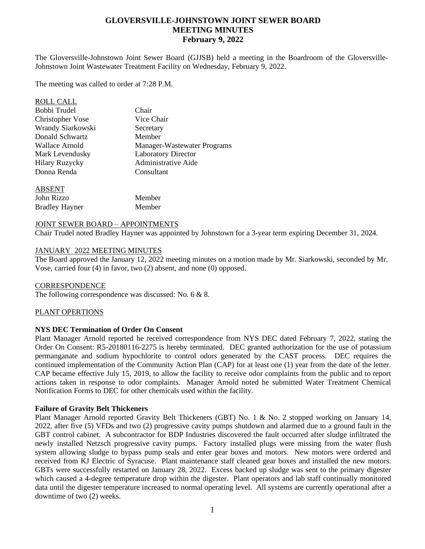# **GLOVERSVILLE-JOHNSTOWN JOINT SEWER BOARD MEETING MINUTES February 9, 2022**

The Gloversville-Johnstown Joint Sewer Board (GJJSB) held a meeting in the Boardroom of the Gloversville-Johnstown Joint Wastewater Treatment Facility on Wednesday, February 9, 2022.

The meeting was called to order at 7:28 P.M.

| <b>ROLL CALL</b>        |                             |
|-------------------------|-----------------------------|
| Bobbi Trudel            | Chair                       |
| <b>Christopher Vose</b> | Vice Chair                  |
| Wrandy Siarkowski       | Secretary                   |
| Donald Schwartz         | Member                      |
| Wallace Arnold          | Manager-Wastewater Programs |
| Mark Levendusky         | <b>Laboratory Director</b>  |
| <b>Hilary Ruzycky</b>   | Administrative Aide         |
| Donna Renda             | Consultant                  |
|                         |                             |

#### ABSENT

| John Rizzo            | Member |
|-----------------------|--------|
| <b>Bradley Hayner</b> | Member |

### JOINT SEWER BOARD – APPOINTMENTS

Chair Trudel noted Bradley Hayner was appointed by Johnstown for a 3-year term expiring December 31, 2024.

### JANUARY 2022 MEETING MINUTES

The Board approved the January 12, 2022 meeting minutes on a motion made by Mr. Siarkowski, seconded by Mr. Vose, carried four (4) in favor, two (2) absent, and none (0) opposed.

#### **CORRESPONDENCE**

The following correspondence was discussed: No. 6 & 8.

# PLANT OPERTIONS

# **NYS DEC Termination of Order On Consent**

Plant Manager Arnold reported he received correspondence from NYS DEC dated February 7, 2022, stating the Order On Consent: R5-20180116-2275 is hereby terminated. DEC granted authorization for the use of potassium permanganate and sodium hypochlorite to control odors generated by the CAST process. DEC requires the continued implementation of the Community Action Plan (CAP) for at least one (1) year from the date of the letter. CAP became effective July 15, 2019, to allow the facility to receive odor complaints from the public and to report actions taken in response to odor complaints. Manager Arnold noted he submitted Water Treatment Chemical Notification Forms to DEC for other chemicals used within the facility.

#### **Failure of Gravity Belt Thickeners**

Plant Manager Arnold reported Gravity Belt Thickeners (GBT) No. 1 & No. 2 stopped working on January 14, 2022, after five (5) VFDs and two (2) progressive cavity pumps shutdown and alarmed due to a ground fault in the GBT control cabinet. A subcontractor for BDP Industries discovered the fault occurred after sludge infiltrated the newly installed Netzsch progressive cavity pumps. Factory installed plugs were missing from the water flush system allowing sludge to bypass pump seals and enter gear boxes and motors. New motors were ordered and received from KJ Electric of Syracuse. Plant maintenance staff cleaned gear boxes and installed the new motors. GBTs were successfully restarted on January 28, 2022. Excess backed up sludge was sent to the primary digester which caused a 4-degree temperature drop within the digester. Plant operators and lab staff continually monitored data until the digester temperature increased to normal operating level. All systems are currently operational after a downtime of two (2) weeks.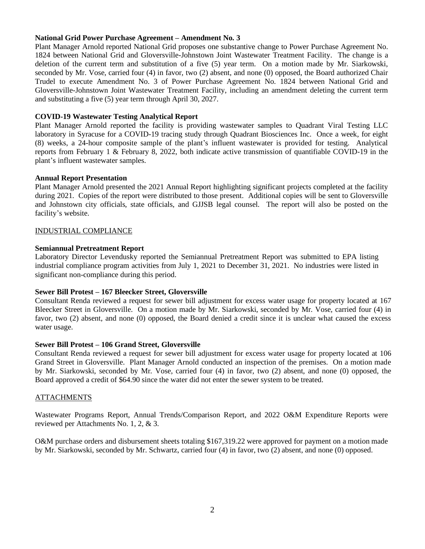### **National Grid Power Purchase Agreement – Amendment No. 3**

Plant Manager Arnold reported National Grid proposes one substantive change to Power Purchase Agreement No. 1824 between National Grid and Gloversville-Johnstown Joint Wastewater Treatment Facility. The change is a deletion of the current term and substitution of a five (5) year term. On a motion made by Mr. Siarkowski, seconded by Mr. Vose, carried four (4) in favor, two (2) absent, and none (0) opposed, the Board authorized Chair Trudel to execute Amendment No. 3 of Power Purchase Agreement No. 1824 between National Grid and Gloversville-Johnstown Joint Wastewater Treatment Facility, including an amendment deleting the current term and substituting a five (5) year term through April 30, 2027.

# **COVID-19 Wastewater Testing Analytical Report**

Plant Manager Arnold reported the facility is providing wastewater samples to Quadrant Viral Testing LLC laboratory in Syracuse for a COVID-19 tracing study through Quadrant Biosciences Inc. Once a week, for eight (8) weeks, a 24-hour composite sample of the plant's influent wastewater is provided for testing. Analytical reports from February 1 & February 8, 2022, both indicate active transmission of quantifiable COVID-19 in the plant's influent wastewater samples.

# **Annual Report Presentation**

Plant Manager Arnold presented the 2021 Annual Report highlighting significant projects completed at the facility during 2021. Copies of the report were distributed to those present. Additional copies will be sent to Gloversville and Johnstown city officials, state officials, and GJJSB legal counsel. The report will also be posted on the facility's website.

# INDUSTRIAL COMPLIANCE

### **Semiannual Pretreatment Report**

Laboratory Director Levendusky reported the Semiannual Pretreatment Report was submitted to EPA listing industrial compliance program activities from July 1, 2021 to December 31, 2021. No industries were listed in significant non-compliance during this period.

# **Sewer Bill Protest – 167 Bleecker Street, Gloversville**

Consultant Renda reviewed a request for sewer bill adjustment for excess water usage for property located at 167 Bleecker Street in Gloversville. On a motion made by Mr. Siarkowski, seconded by Mr. Vose, carried four (4) in favor, two (2) absent, and none (0) opposed, the Board denied a credit since it is unclear what caused the excess water usage.

#### **Sewer Bill Protest – 106 Grand Street, Gloversville**

Consultant Renda reviewed a request for sewer bill adjustment for excess water usage for property located at 106 Grand Street in Gloversville. Plant Manager Arnold conducted an inspection of the premises. On a motion made by Mr. Siarkowski, seconded by Mr. Vose, carried four (4) in favor, two (2) absent, and none (0) opposed, the Board approved a credit of \$64.90 since the water did not enter the sewer system to be treated.

#### **ATTACHMENTS**

Wastewater Programs Report, Annual Trends/Comparison Report, and 2022 O&M Expenditure Reports were reviewed per Attachments No. 1, 2, & 3.

O&M purchase orders and disbursement sheets totaling \$167,319.22 were approved for payment on a motion made by Mr. Siarkowski, seconded by Mr. Schwartz, carried four (4) in favor, two (2) absent, and none (0) opposed.